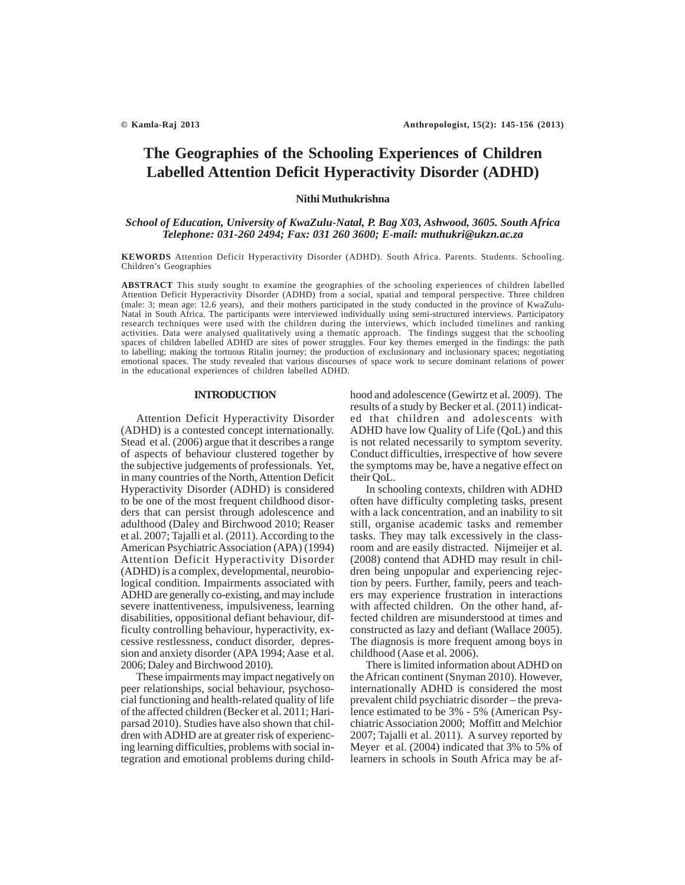# **The Geographies of the Schooling Experiences of Children Labelled Attention Deficit Hyperactivity Disorder (ADHD)**

#### **Nithi Muthukrishna**

# *School of Education, University of KwaZulu-Natal, P. Bag X03, Ashwood, 3605. South Africa Telephone: 031-260 2494; Fax: 031 260 3600; E-mail: muthukri@ukzn.ac.za*

**KEWORDS** Attention Deficit Hyperactivity Disorder (ADHD). South Africa. Parents. Students. Schooling. Children's Geographies

**ABSTRACT** This study sought to examine the geographies of the schooling experiences of children labelled Attention Deficit Hyperactivity Disorder (ADHD) from a social, spatial and temporal perspective. Three children (male: 3; mean age: 12.6 years), and their mothers participated in the study conducted in the province of KwaZulu-Natal in South Africa. The participants were interviewed individually using semi-structured interviews. Participatory research techniques were used with the children during the interviews, which included timelines and ranking activities. Data were analysed qualitatively using a thematic approach. The findings suggest that the schooling spaces of children labelled ADHD are sites of power struggles. Four key themes emerged in the findings: the path to labelling; making the tortuous Ritalin journey; the production of exclusionary and inclusionary spaces; negotiating emotional spaces. The study revealed that various discourses of space work to secure dominant relations of power in the educational experiences of children labelled ADHD.

## **INTRODUCTION**

Attention Deficit Hyperactivity Disorder (ADHD) is a contested concept internationally. Stead et al. (2006) argue that it describes a range of aspects of behaviour clustered together by the subjective judgements of professionals. Yet, in many countries of the North, Attention Deficit Hyperactivity Disorder (ADHD) is considered to be one of the most frequent childhood disorders that can persist through adolescence and adulthood (Daley and Birchwood 2010; Reaser et al. 2007; Tajalli et al. (2011). According to the American Psychiatric Association (APA) (1994) Attention Deficit Hyperactivity Disorder (ADHD) is a complex, developmental, neurobiological condition. Impairments associated with ADHD are generally co-existing, and may include severe inattentiveness, impulsiveness, learning disabilities, oppositional defiant behaviour, difficulty controlling behaviour, hyperactivity, excessive restlessness, conduct disorder, depression and anxiety disorder (APA 1994; Aase et al. 2006; Daley and Birchwood 2010).

These impairments may impact negatively on peer relationships, social behaviour, psychosocial functioning and health-related quality of life of the affected children (Becker et al. 2011; Hariparsad 2010). Studies have also shown that children with ADHD are at greater risk of experiencing learning difficulties, problems with social integration and emotional problems during childhood and adolescence (Gewirtz et al. 2009). The results of a study by Becker et al. (2011) indicated that children and adolescents with ADHD have low Quality of Life (QoL) and this is not related necessarily to symptom severity. Conduct difficulties, irrespective of how severe the symptoms may be, have a negative effect on their QoL.

In schooling contexts, children with ADHD often have difficulty completing tasks, present with a lack concentration, and an inability to sit still, organise academic tasks and remember tasks. They may talk excessively in the classroom and are easily distracted. Nijmeijer et al. (2008) contend that ADHD may result in children being unpopular and experiencing rejection by peers. Further, family, peers and teachers may experience frustration in interactions with affected children. On the other hand, affected children are misunderstood at times and constructed as lazy and defiant (Wallace 2005). The diagnosis is more frequent among boys in childhood (Aase et al. 2006).

There is limited information about ADHD on the African continent (Snyman 2010). However, internationally ADHD is considered the most prevalent child psychiatric disorder – the prevalence estimated to be 3% - 5% (American Psychiatric Association 2000; Moffitt and Melchior 2007; Tajalli et al. 2011). A survey reported by Meyer et al. (2004) indicated that 3% to 5% of learners in schools in South Africa may be af-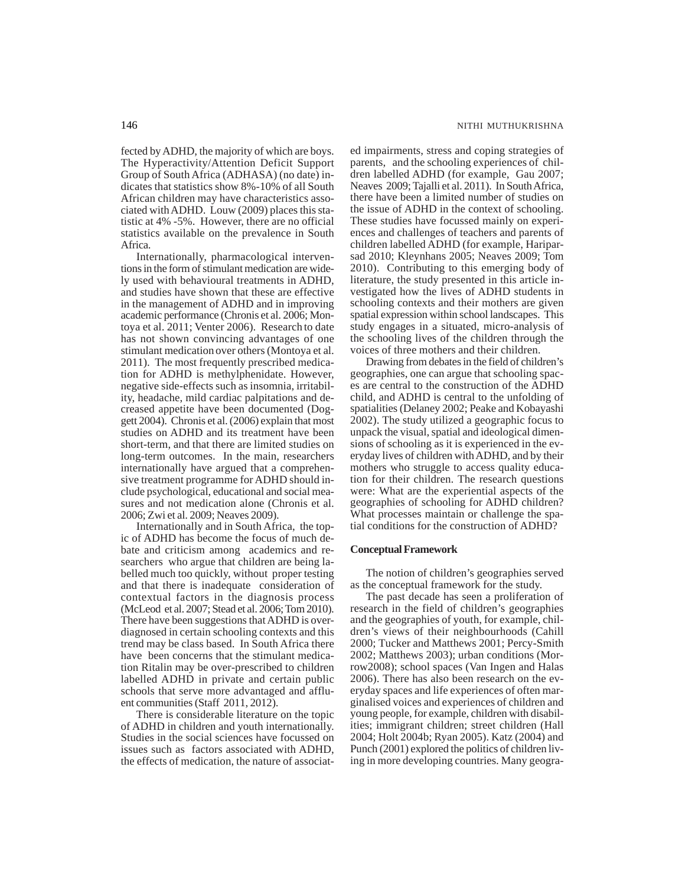fected by ADHD, the majority of which are boys. The Hyperactivity/Attention Deficit Support Group of South Africa (ADHASA) (no date) indicates that statistics show 8%-10% of all South African children may have characteristics associated with ADHD. Louw (2009) places this statistic at 4% -5%. However, there are no official statistics available on the prevalence in South Africa.

Internationally, pharmacological interventions in the form of stimulant medication are widely used with behavioural treatments in ADHD, and studies have shown that these are effective in the management of ADHD and in improving academic performance (Chronis et al. 2006; Montoya et al. 2011; Venter 2006). Research to date has not shown convincing advantages of one stimulant medication over others (Montoya et al. 2011). The most frequently prescribed medication for ADHD is methylphenidate. However, negative side-effects such as insomnia, irritability, headache, mild cardiac palpitations and decreased appetite have been documented (Doggett 2004). Chronis et al. (2006) explain that most studies on ADHD and its treatment have been short-term, and that there are limited studies on long-term outcomes. In the main, researchers internationally have argued that a comprehensive treatment programme for ADHD should include psychological, educational and social measures and not medication alone (Chronis et al. 2006; Zwi et al. 2009; Neaves 2009).

Internationally and in South Africa, the topic of ADHD has become the focus of much debate and criticism among academics and researchers who argue that children are being labelled much too quickly, without proper testing and that there is inadequate consideration of contextual factors in the diagnosis process (McLeod et al. 2007; Stead et al. 2006; Tom 2010). There have been suggestions that ADHD is overdiagnosed in certain schooling contexts and this trend may be class based. In South Africa there have been concerns that the stimulant medication Ritalin may be over-prescribed to children labelled ADHD in private and certain public schools that serve more advantaged and affluent communities (Staff 2011, 2012).

There is considerable literature on the topic of ADHD in children and youth internationally. Studies in the social sciences have focussed on issues such as factors associated with ADHD, the effects of medication, the nature of associated impairments, stress and coping strategies of parents, and the schooling experiences of children labelled ADHD (for example, Gau 2007; Neaves 2009; Tajalli et al. 2011). In South Africa, there have been a limited number of studies on the issue of ADHD in the context of schooling. These studies have focussed mainly on experiences and challenges of teachers and parents of children labelled ADHD (for example, Hariparsad 2010; Kleynhans 2005; Neaves 2009; Tom 2010). Contributing to this emerging body of literature, the study presented in this article investigated how the lives of ADHD students in schooling contexts and their mothers are given spatial expression within school landscapes. This study engages in a situated, micro-analysis of the schooling lives of the children through the voices of three mothers and their children.

Drawing from debates in the field of children's geographies, one can argue that schooling spaces are central to the construction of the ADHD child, and ADHD is central to the unfolding of spatialities (Delaney 2002; Peake and Kobayashi 2002). The study utilized a geographic focus to unpack the visual, spatial and ideological dimensions of schooling as it is experienced in the everyday lives of children with ADHD, and by their mothers who struggle to access quality education for their children. The research questions were: What are the experiential aspects of the geographies of schooling for ADHD children? What processes maintain or challenge the spatial conditions for the construction of ADHD?

## **Conceptual Framework**

The notion of children's geographies served as the conceptual framework for the study.

The past decade has seen a proliferation of research in the field of children's geographies and the geographies of youth, for example, children's views of their neighbourhoods (Cahill 2000; Tucker and Matthews 2001; Percy-Smith 2002; Matthews 2003); urban conditions (Morrow2008); school spaces (Van Ingen and Halas 2006). There has also been research on the everyday spaces and life experiences of often marginalised voices and experiences of children and young people, for example, children with disabilities; immigrant children; street children (Hall 2004; Holt 2004b; Ryan 2005). Katz (2004) and Punch (2001) explored the politics of children living in more developing countries. Many geogra-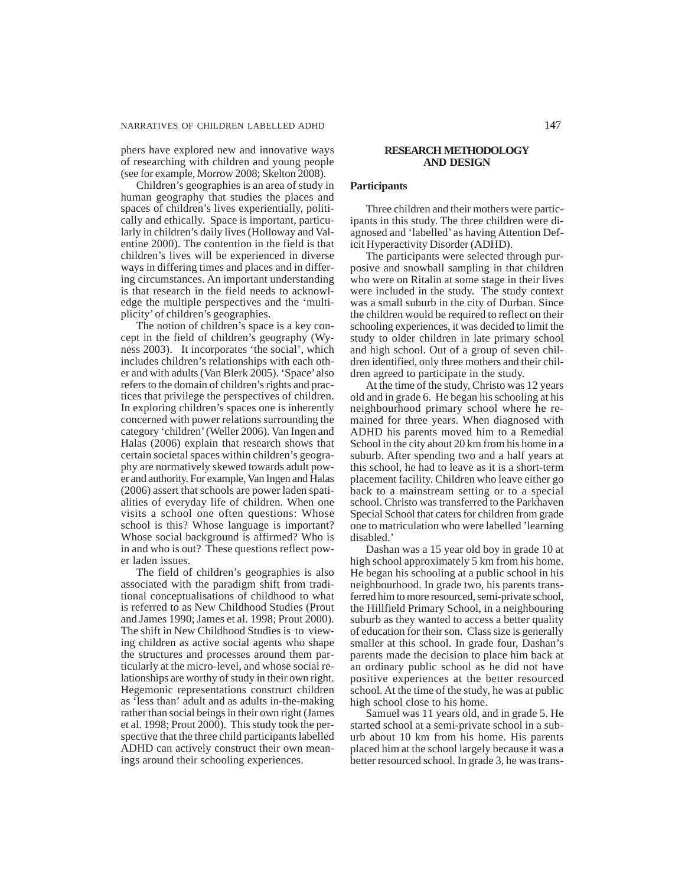# NARRATIVES OF CHILDREN LABELLED ADHD 147

phers have explored new and innovative ways of researching with children and young people (see for example, Morrow 2008; Skelton 2008).

Children's geographies is an area of study in human geography that studies the places and spaces of children's lives experientially, politically and ethically. Space is important, particularly in children's daily lives (Holloway and Valentine 2000). The contention in the field is that children's lives will be experienced in diverse ways in differing times and places and in differing circumstances. An important understanding is that research in the field needs to acknowledge the multiple perspectives and the 'multiplicity' of children's geographies.

The notion of children's space is a key concept in the field of children's geography (Wyness 2003). It incorporates 'the social', which includes children's relationships with each other and with adults (Van Blerk 2005). 'Space' also refers to the domain of children's rights and practices that privilege the perspectives of children. In exploring children's spaces one is inherently concerned with power relations surrounding the category 'children' (Weller 2006). Van Ingen and Halas (2006) explain that research shows that certain societal spaces within children's geography are normatively skewed towards adult power and authority. For example, Van Ingen and Halas (2006) assert that schools are power laden spatialities of everyday life of children. When one visits a school one often questions: Whose school is this? Whose language is important? Whose social background is affirmed? Who is in and who is out? These questions reflect power laden issues.

The field of children's geographies is also associated with the paradigm shift from traditional conceptualisations of childhood to what is referred to as New Childhood Studies (Prout and James 1990; James et al. 1998; Prout 2000). The shift in New Childhood Studies is to viewing children as active social agents who shape the structures and processes around them particularly at the micro-level, and whose social relationships are worthy of study in their own right. Hegemonic representations construct children as 'less than' adult and as adults in-the-making rather than social beings in their own right (James et al. 1998; Prout 2000). This study took the perspective that the three child participants labelled ADHD can actively construct their own meanings around their schooling experiences.

## **RESEARCH METHODOLOGY AND DESIGN**

# **Participants**

Three children and their mothers were participants in this study. The three children were diagnosed and 'labelled' as having Attention Deficit Hyperactivity Disorder (ADHD).

The participants were selected through purposive and snowball sampling in that children who were on Ritalin at some stage in their lives were included in the study. The study context was a small suburb in the city of Durban. Since the children would be required to reflect on their schooling experiences, it was decided to limit the study to older children in late primary school and high school. Out of a group of seven children identified, only three mothers and their children agreed to participate in the study.

At the time of the study, Christo was 12 years old and in grade 6. He began his schooling at his neighbourhood primary school where he remained for three years. When diagnosed with ADHD his parents moved him to a Remedial School in the city about 20 km from his home in a suburb. After spending two and a half years at this school, he had to leave as it is a short-term placement facility. Children who leave either go back to a mainstream setting or to a special school. Christo was transferred to the Parkhaven Special School that caters for children from grade one to matriculation who were labelled 'learning disabled.'

Dashan was a 15 year old boy in grade 10 at high school approximately 5 km from his home. He began his schooling at a public school in his neighbourhood. In grade two, his parents transferred him to more resourced, semi-private school, the Hillfield Primary School, in a neighbouring suburb as they wanted to access a better quality of education for their son. Class size is generally smaller at this school. In grade four, Dashan's parents made the decision to place him back at an ordinary public school as he did not have positive experiences at the better resourced school. At the time of the study, he was at public high school close to his home.

Samuel was 11 years old, and in grade 5. He started school at a semi-private school in a suburb about 10 km from his home. His parents placed him at the school largely because it was a better resourced school. In grade 3, he was trans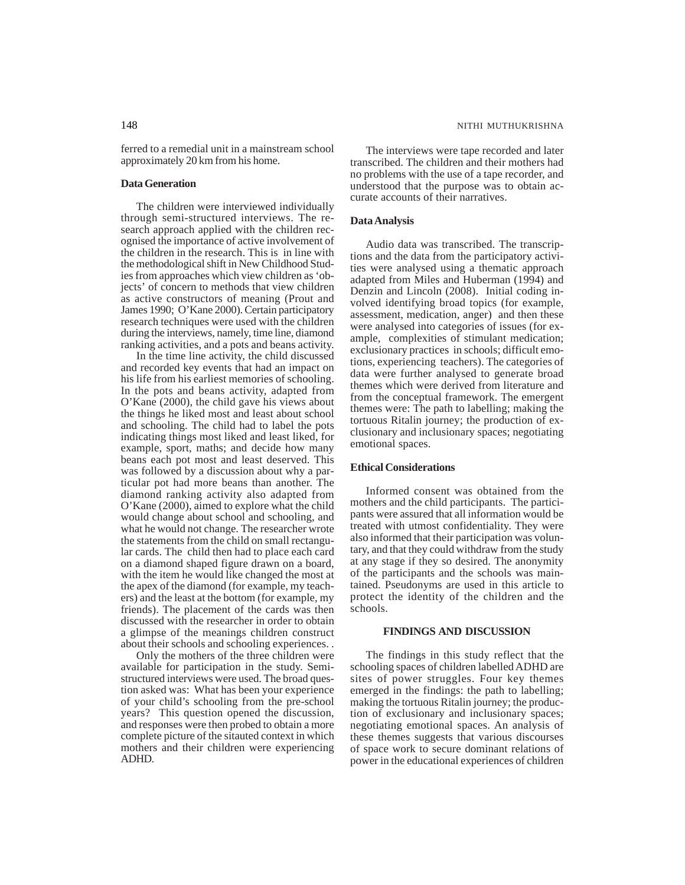ferred to a remedial unit in a mainstream school approximately 20 km from his home.

# **Data Generation**

The children were interviewed individually through semi-structured interviews. The research approach applied with the children recognised the importance of active involvement of the children in the research. This is in line with the methodological shift in New Childhood Studies from approaches which view children as 'objects' of concern to methods that view children as active constructors of meaning (Prout and James 1990; O'Kane 2000). Certain participatory research techniques were used with the children during the interviews, namely, time line, diamond ranking activities, and a pots and beans activity.

In the time line activity, the child discussed and recorded key events that had an impact on his life from his earliest memories of schooling. In the pots and beans activity, adapted from O'Kane (2000), the child gave his views about the things he liked most and least about school and schooling. The child had to label the pots indicating things most liked and least liked, for example, sport, maths; and decide how many beans each pot most and least deserved. This was followed by a discussion about why a particular pot had more beans than another. The diamond ranking activity also adapted from O'Kane (2000), aimed to explore what the child would change about school and schooling, and what he would not change. The researcher wrote the statements from the child on small rectangular cards. The child then had to place each card on a diamond shaped figure drawn on a board, with the item he would like changed the most at the apex of the diamond (for example, my teachers) and the least at the bottom (for example, my friends). The placement of the cards was then discussed with the researcher in order to obtain a glimpse of the meanings children construct about their schools and schooling experiences. .

Only the mothers of the three children were available for participation in the study. Semistructured interviews were used. The broad question asked was: What has been your experience of your child's schooling from the pre-school years? This question opened the discussion, and responses were then probed to obtain a more complete picture of the sitauted context in which mothers and their children were experiencing ADHD.

The interviews were tape recorded and later transcribed. The children and their mothers had no problems with the use of a tape recorder, and understood that the purpose was to obtain accurate accounts of their narratives.

## **Data Analysis**

Audio data was transcribed. The transcriptions and the data from the participatory activities were analysed using a thematic approach adapted from Miles and Huberman (1994) and Denzin and Lincoln (2008). Initial coding involved identifying broad topics (for example, assessment, medication, anger) and then these were analysed into categories of issues (for example, complexities of stimulant medication; exclusionary practices in schools; difficult emotions, experiencing teachers). The categories of data were further analysed to generate broad themes which were derived from literature and from the conceptual framework. The emergent themes were: The path to labelling; making the tortuous Ritalin journey; the production of exclusionary and inclusionary spaces; negotiating emotional spaces.

#### **Ethical Considerations**

Informed consent was obtained from the mothers and the child participants. The participants were assured that all information would be treated with utmost confidentiality. They were also informed that their participation was voluntary, and that they could withdraw from the study at any stage if they so desired. The anonymity of the participants and the schools was maintained. Pseudonyms are used in this article to protect the identity of the children and the schools.

#### **FINDINGS AND DISCUSSION**

The findings in this study reflect that the schooling spaces of children labelled ADHD are sites of power struggles. Four key themes emerged in the findings: the path to labelling; making the tortuous Ritalin journey; the production of exclusionary and inclusionary spaces; negotiating emotional spaces. An analysis of these themes suggests that various discourses of space work to secure dominant relations of power in the educational experiences of children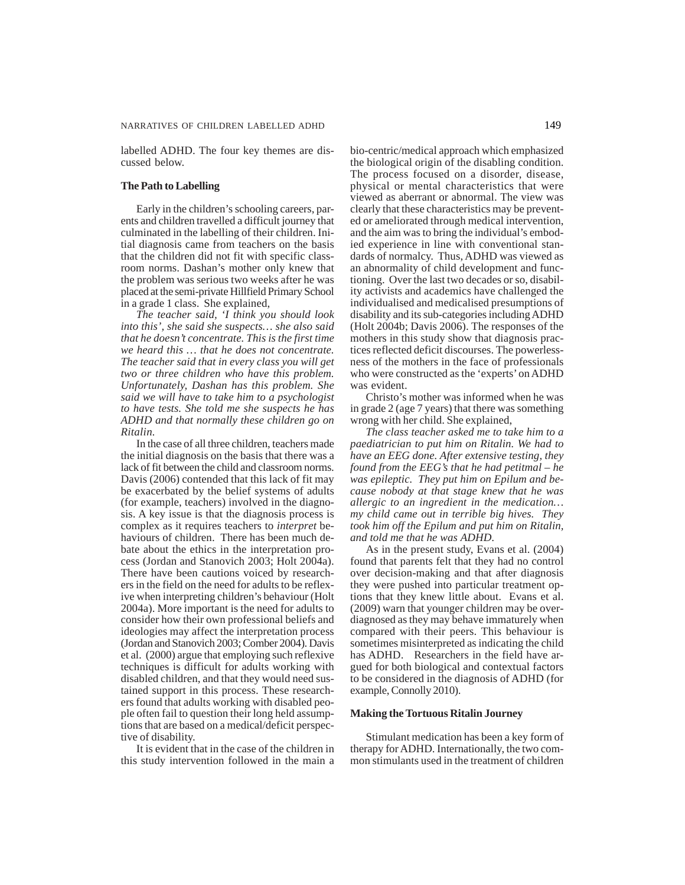labelled ADHD. The four key themes are discussed below.

# **The Path to Labelling**

Early in the children's schooling careers, parents and children travelled a difficult journey that culminated in the labelling of their children. Initial diagnosis came from teachers on the basis that the children did not fit with specific classroom norms. Dashan's mother only knew that the problem was serious two weeks after he was placed at the semi-private Hillfield Primary School in a grade 1 class. She explained,

*The teacher said, 'I think you should look into this', she said she suspects… she also said that he doesn't concentrate. This is the first time we heard this … that he does not concentrate. The teacher said that in every class you will get two or three children who have this problem. Unfortunately, Dashan has this problem. She said we will have to take him to a psychologist to have tests. She told me she suspects he has ADHD and that normally these children go on Ritalin.*

In the case of all three children, teachers made the initial diagnosis on the basis that there was a lack of fit between the child and classroom norms. Davis (2006) contended that this lack of fit may be exacerbated by the belief systems of adults (for example, teachers) involved in the diagnosis. A key issue is that the diagnosis process is complex as it requires teachers to *interpret* behaviours of children. There has been much debate about the ethics in the interpretation process (Jordan and Stanovich 2003; Holt 2004a). There have been cautions voiced by researchers in the field on the need for adults to be reflexive when interpreting children's behaviour (Holt 2004a). More important is the need for adults to consider how their own professional beliefs and ideologies may affect the interpretation process (Jordan and Stanovich 2003; Comber 2004). Davis et al. (2000) argue that employing such reflexive techniques is difficult for adults working with disabled children, and that they would need sustained support in this process. These researchers found that adults working with disabled people often fail to question their long held assumptions that are based on a medical/deficit perspective of disability.

It is evident that in the case of the children in this study intervention followed in the main a bio-centric/medical approach which emphasized the biological origin of the disabling condition. The process focused on a disorder, disease, physical or mental characteristics that were viewed as aberrant or abnormal. The view was clearly that these characteristics may be prevented or ameliorated through medical intervention, and the aim was to bring the individual's embodied experience in line with conventional standards of normalcy. Thus, ADHD was viewed as an abnormality of child development and functioning. Over the last two decades or so, disability activists and academics have challenged the individualised and medicalised presumptions of disability and its sub-categories including ADHD (Holt 2004b; Davis 2006). The responses of the mothers in this study show that diagnosis practices reflected deficit discourses. The powerlessness of the mothers in the face of professionals who were constructed as the 'experts' on ADHD was evident.

Christo's mother was informed when he was in grade 2 (age 7 years) that there was something wrong with her child. She explained,

*The class teacher asked me to take him to a paediatrician to put him on Ritalin. We had to have an EEG done. After extensive testing, they found from the EEG's that he had petitmal – he was epileptic. They put him on Epilum and because nobody at that stage knew that he was allergic to an ingredient in the medication… my child came out in terrible big hives. They took him off the Epilum and put him on Ritalin, and told me that he was ADHD.*

As in the present study, Evans et al. (2004) found that parents felt that they had no control over decision-making and that after diagnosis they were pushed into particular treatment options that they knew little about. Evans et al. (2009) warn that younger children may be overdiagnosed as they may behave immaturely when compared with their peers. This behaviour is sometimes misinterpreted as indicating the child has ADHD. Researchers in the field have argued for both biological and contextual factors to be considered in the diagnosis of ADHD (for example, Connolly 2010).

# **Making the Tortuous Ritalin Journey**

Stimulant medication has been a key form of therapy for ADHD. Internationally, the two common stimulants used in the treatment of children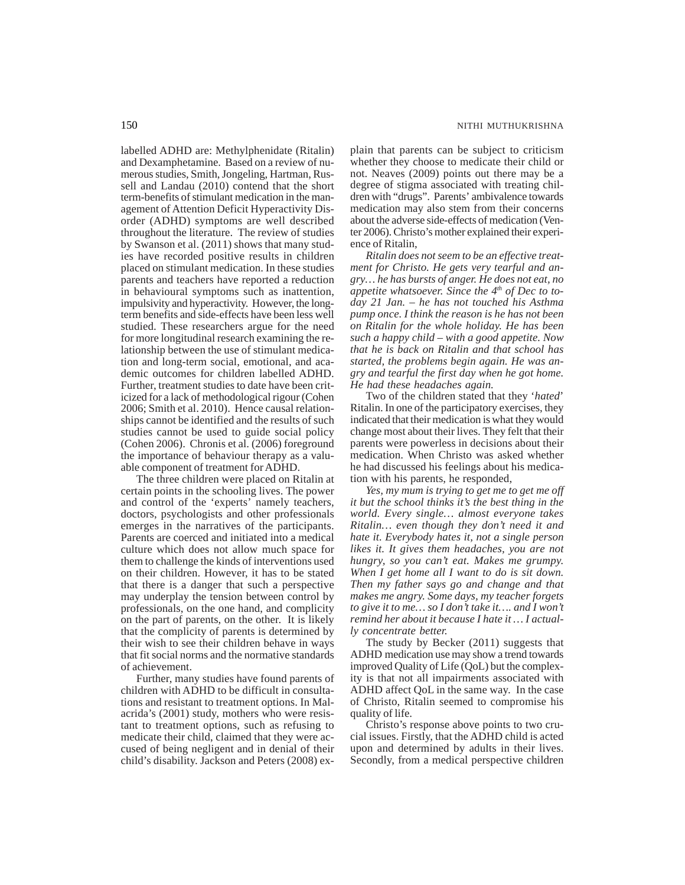labelled ADHD are: Methylphenidate (Ritalin) and Dexamphetamine. Based on a review of numerous studies, Smith, Jongeling, Hartman, Russell and Landau (2010) contend that the short term-benefits of stimulant medication in the management of Attention Deficit Hyperactivity Disorder (ADHD) symptoms are well described throughout the literature. The review of studies by Swanson et al. (2011) shows that many studies have recorded positive results in children placed on stimulant medication. In these studies parents and teachers have reported a reduction in behavioural symptoms such as inattention, impulsivity and hyperactivity. However, the longterm benefits and side-effects have been less well studied. These researchers argue for the need for more longitudinal research examining the relationship between the use of stimulant medication and long-term social, emotional, and academic outcomes for children labelled ADHD. Further, treatment studies to date have been criticized for a lack of methodological rigour (Cohen 2006; Smith et al. 2010). Hence causal relationships cannot be identified and the results of such studies cannot be used to guide social policy (Cohen 2006). Chronis et al. (2006) foreground the importance of behaviour therapy as a valuable component of treatment for ADHD.

The three children were placed on Ritalin at certain points in the schooling lives. The power and control of the 'experts' namely teachers, doctors, psychologists and other professionals emerges in the narratives of the participants. Parents are coerced and initiated into a medical culture which does not allow much space for them to challenge the kinds of interventions used on their children. However, it has to be stated that there is a danger that such a perspective may underplay the tension between control by professionals, on the one hand, and complicity on the part of parents, on the other. It is likely that the complicity of parents is determined by their wish to see their children behave in ways that fit social norms and the normative standards of achievement.

Further, many studies have found parents of children with ADHD to be difficult in consultations and resistant to treatment options. In Malacrida's (2001) study, mothers who were resistant to treatment options, such as refusing to medicate their child, claimed that they were accused of being negligent and in denial of their child's disability. Jackson and Peters (2008) explain that parents can be subject to criticism whether they choose to medicate their child or not. Neaves (2009) points out there may be a degree of stigma associated with treating children with "drugs". Parents' ambivalence towards medication may also stem from their concerns about the adverse side-effects of medication (Venter 2006). Christo's mother explained their experience of Ritalin,

*Ritalin does not seem to be an effective treatment for Christo. He gets very tearful and angry… he has bursts of anger. He does not eat, no appetite whatsoever. Since the 4th of Dec to today 21 Jan. – he has not touched his Asthma pump once. I think the reason is he has not been on Ritalin for the whole holiday. He has been such a happy child – with a good appetite. Now that he is back on Ritalin and that school has started, the problems begin again. He was angry and tearful the first day when he got home. He had these headaches again.*

Two of the children stated that they '*hated*' Ritalin. In one of the participatory exercises, they indicated that their medication is what they would change most about their lives. They felt that their parents were powerless in decisions about their medication. When Christo was asked whether he had discussed his feelings about his medication with his parents, he responded,

*Yes, my mum is trying to get me to get me off it but the school thinks it's the best thing in the world. Every single… almost everyone takes Ritalin… even though they don't need it and hate it. Everybody hates it, not a single person likes it. It gives them headaches, you are not hungry, so you can't eat. Makes me grumpy. When I get home all I want to do is sit down. Then my father says go and change and that makes me angry. Some days, my teacher forgets to give it to me… so I don't take it…. and I won't remind her about it because I hate it … I actually concentrate better.*

The study by Becker (2011) suggests that ADHD medication use may show a trend towards improved Quality of Life (QoL) but the complexity is that not all impairments associated with ADHD affect QoL in the same way. In the case of Christo, Ritalin seemed to compromise his quality of life.

Christo's response above points to two crucial issues. Firstly, that the ADHD child is acted upon and determined by adults in their lives. Secondly, from a medical perspective children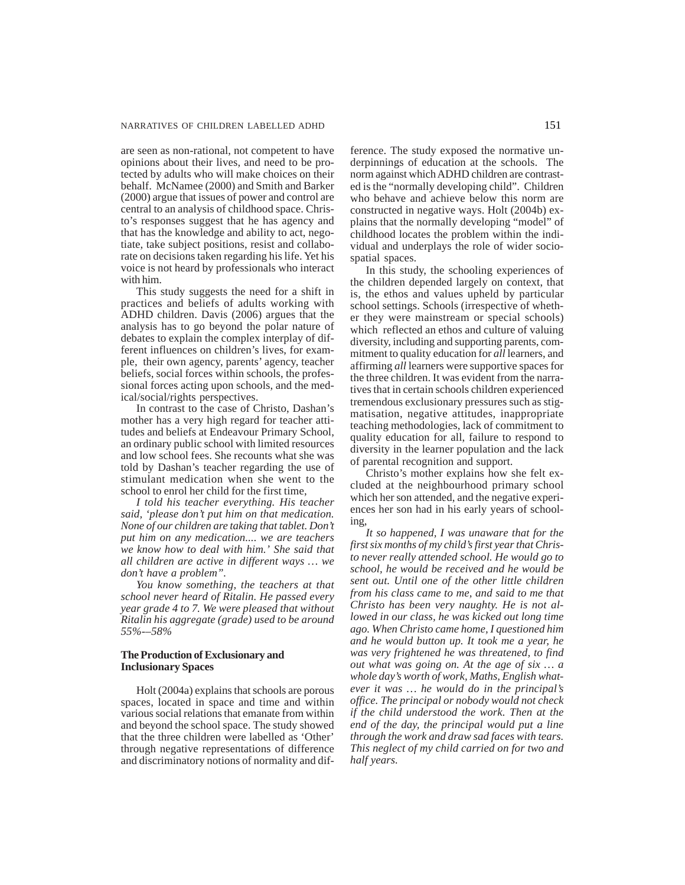are seen as non-rational, not competent to have opinions about their lives, and need to be protected by adults who will make choices on their behalf. McNamee (2000) and Smith and Barker (2000) argue that issues of power and control are central to an analysis of childhood space. Christo's responses suggest that he has agency and that has the knowledge and ability to act, negotiate, take subject positions, resist and collaborate on decisions taken regarding his life. Yet his voice is not heard by professionals who interact with him.

This study suggests the need for a shift in practices and beliefs of adults working with ADHD children. Davis (2006) argues that the analysis has to go beyond the polar nature of debates to explain the complex interplay of different influences on children's lives, for example, their own agency, parents' agency, teacher beliefs, social forces within schools, the professional forces acting upon schools, and the medical/social/rights perspectives.

In contrast to the case of Christo, Dashan's mother has a very high regard for teacher attitudes and beliefs at Endeavour Primary School, an ordinary public school with limited resources and low school fees. She recounts what she was told by Dashan's teacher regarding the use of stimulant medication when she went to the school to enrol her child for the first time,

*I told his teacher everything. His teacher said, 'please don't put him on that medication. None of our children are taking that tablet. Don't put him on any medication.... we are teachers we know how to deal with him.' She said that all children are active in different ways … we don't have a problem".*

*You know something, the teachers at that school never heard of Ritalin. He passed every year grade 4 to 7. We were pleased that without Ritalin his aggregate (grade) used to be around 55%-–58%*

# **The Production of Exclusionary and Inclusionary Spaces**

Holt (2004a) explains that schools are porous spaces, located in space and time and within various social relations that emanate from within and beyond the school space. The study showed that the three children were labelled as 'Other' through negative representations of difference and discriminatory notions of normality and difference. The study exposed the normative underpinnings of education at the schools. The norm against which ADHD children are contrasted is the "normally developing child". Children who behave and achieve below this norm are constructed in negative ways. Holt (2004b) explains that the normally developing "model" of childhood locates the problem within the individual and underplays the role of wider sociospatial spaces.

In this study, the schooling experiences of the children depended largely on context, that is, the ethos and values upheld by particular school settings. Schools (irrespective of whether they were mainstream or special schools) which reflected an ethos and culture of valuing diversity, including and supporting parents, commitment to quality education for *all* learners, and affirming *all* learners were supportive spaces for the three children. It was evident from the narratives that in certain schools children experienced tremendous exclusionary pressures such as stigmatisation, negative attitudes, inappropriate teaching methodologies, lack of commitment to quality education for all, failure to respond to diversity in the learner population and the lack of parental recognition and support.

Christo's mother explains how she felt excluded at the neighbourhood primary school which her son attended, and the negative experiences her son had in his early years of schooling,

*It so happened, I was unaware that for the first six months of my child's first year that Christo never really attended school. He would go to school, he would be received and he would be sent out. Until one of the other little children from his class came to me, and said to me that Christo has been very naughty. He is not allowed in our class, he was kicked out long time ago. When Christo came home, I questioned him and he would button up. It took me a year, he was very frightened he was threatened, to find out what was going on. At the age of six … a whole day's worth of work, Maths, English whatever it was … he would do in the principal's office. The principal or nobody would not check if the child understood the work. Then at the end of the day, the principal would put a line through the work and draw sad faces with tears. This neglect of my child carried on for two and half years.*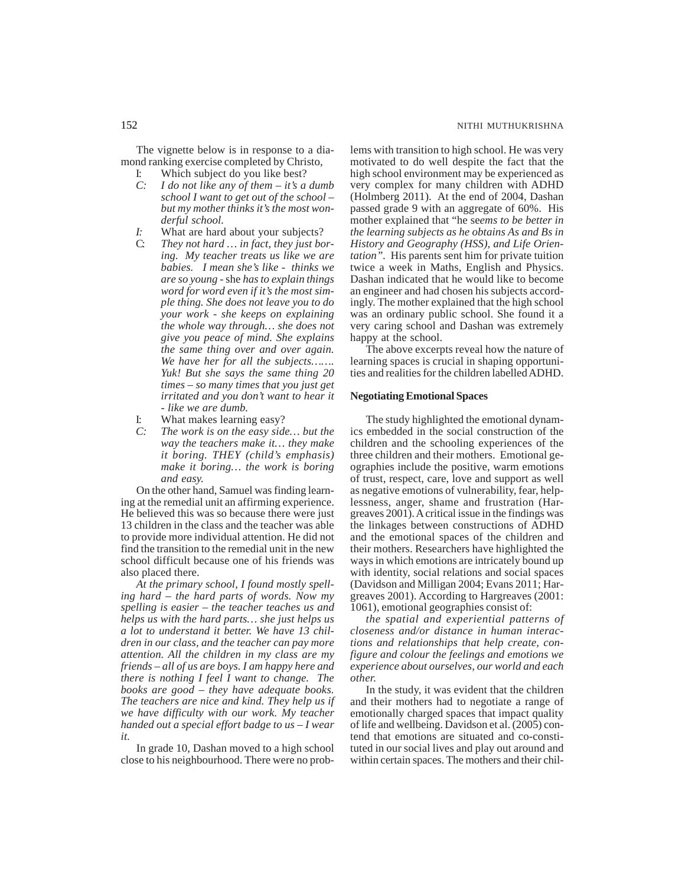The vignette below is in response to a diamond ranking exercise completed by Christo, I: Which subject do you like best?

- *C: I do not like any of them it's a dumb school I want to get out of the school – but my mother thinks it's the most wonderful school.*
- *I:* What are hard about your subjects?
- C: *They not hard … in fact, they just boring. My teacher treats us like we are babies. I mean she's like - thinks we are so young -* she *has to explain things word for word even if it's the most simple thing. She does not leave you to do your work - she keeps on explaining the whole way through… she does not give you peace of mind. She explains the same thing over and over again. We have her for all the subjects……. Yuk! But she says the same thing 20 times – so many times that you just get irritated and you don't want to hear it - like we are dumb.*
- I: What makes learning easy?
- *C: The work is on the easy side… but the way the teachers make it… they make it boring. THEY (child's emphasis) make it boring… the work is boring and easy.*

On the other hand, Samuel was finding learning at the remedial unit an affirming experience. He believed this was so because there were just 13 children in the class and the teacher was able to provide more individual attention. He did not find the transition to the remedial unit in the new school difficult because one of his friends was also placed there.

*At the primary school, I found mostly spelling hard – the hard parts of words. Now my spelling is easier – the teacher teaches us and helps us with the hard parts… she just helps us a lot to understand it better. We have 13 children in our class, and the teacher can pay more attention. All the children in my class are my friends – all of us are boys. I am happy here and there is nothing I feel I want to change. The books are good – they have adequate books. The teachers are nice and kind. They help us if we have difficulty with our work. My teacher handed out a special effort badge to us – I wear it.*

In grade 10, Dashan moved to a high school close to his neighbourhood. There were no problems with transition to high school. He was very motivated to do well despite the fact that the high school environment may be experienced as very complex for many children with ADHD (Holmberg 2011). At the end of 2004, Dashan passed grade 9 with an aggregate of 60%. His mother explained that "he se*ems to be better in the learning subjects as he obtains As and Bs in History and Geography (HSS), and Life Orientation".* His parents sent him for private tuition twice a week in Maths, English and Physics. Dashan indicated that he would like to become an engineer and had chosen his subjects accordingly. The mother explained that the high school was an ordinary public school. She found it a very caring school and Dashan was extremely happy at the school.

The above excerpts reveal how the nature of learning spaces is crucial in shaping opportunities and realities for the children labelled ADHD.

## **Negotiating Emotional Spaces**

The study highlighted the emotional dynamics embedded in the social construction of the children and the schooling experiences of the three children and their mothers. Emotional geographies include the positive, warm emotions of trust, respect, care, love and support as well as negative emotions of vulnerability, fear, helplessness, anger, shame and frustration (Hargreaves 2001). A critical issue in the findings was the linkages between constructions of ADHD and the emotional spaces of the children and their mothers. Researchers have highlighted the ways in which emotions are intricately bound up with identity, social relations and social spaces (Davidson and Milligan 2004; Evans 2011; Hargreaves 2001). According to Hargreaves (2001: 1061), emotional geographies consist of:

*the spatial and experiential patterns of closeness and/or distance in human interactions and relationships that help create, configure and colour the feelings and emotions we experience about ourselves, our world and each other.*

In the study, it was evident that the children and their mothers had to negotiate a range of emotionally charged spaces that impact quality of life and wellbeing. Davidson et al. (2005) contend that emotions are situated and co-constituted in our social lives and play out around and within certain spaces. The mothers and their chil-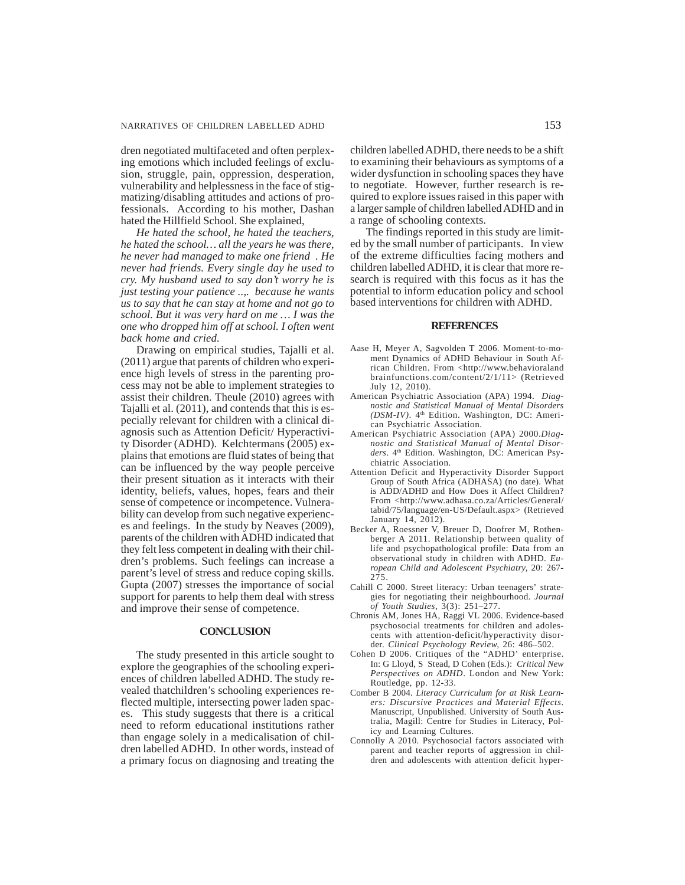dren negotiated multifaceted and often perplexing emotions which included feelings of exclusion, struggle, pain, oppression, desperation, vulnerability and helplessness in the face of stigmatizing/disabling attitudes and actions of professionals. According to his mother, Dashan hated the Hillfield School. She explained,

*He hated the school, he hated the teachers, he hated the school… all the years he was there, he never had managed to make one friend . He never had friends. Every single day he used to cry. My husband used to say don't worry he is just testing your patience ..,. because he wants us to say that he can stay at home and not go to school. But it was very hard on me … I was the one who dropped him off at school. I often went back home and cried.*

Drawing on empirical studies, Tajalli et al. (2011) argue that parents of children who experience high levels of stress in the parenting process may not be able to implement strategies to assist their children. Theule (2010) agrees with Tajalli et al. (2011), and contends that this is especially relevant for children with a clinical diagnosis such as Attention Deficit/ Hyperactivity Disorder (ADHD). Kelchtermans (2005) explains that emotions are fluid states of being that can be influenced by the way people perceive their present situation as it interacts with their identity, beliefs, values, hopes, fears and their sense of competence or incompetence. Vulnerability can develop from such negative experiences and feelings. In the study by Neaves (2009), parents of the children with ADHD indicated that they felt less competent in dealing with their children's problems. Such feelings can increase a parent's level of stress and reduce coping skills. Gupta (2007) stresses the importance of social support for parents to help them deal with stress and improve their sense of competence.

#### **CONCLUSION**

The study presented in this article sought to explore the geographies of the schooling experiences of children labelled ADHD. The study revealed thatchildren's schooling experiences reflected multiple, intersecting power laden spaces. This study suggests that there is a critical need to reform educational institutions rather than engage solely in a medicalisation of children labelled ADHD. In other words, instead of a primary focus on diagnosing and treating the

children labelled ADHD, there needs to be a shift to examining their behaviours as symptoms of a wider dysfunction in schooling spaces they have to negotiate. However, further research is required to explore issues raised in this paper with a larger sample of children labelled ADHD and in a range of schooling contexts.

The findings reported in this study are limited by the small number of participants. In view of the extreme difficulties facing mothers and children labelled ADHD, it is clear that more research is required with this focus as it has the potential to inform education policy and school based interventions for children with ADHD.

#### **REFERENCES**

- Aase H, Meyer A, Sagvolden T 2006. Moment-to-moment Dynamics of ADHD Behaviour in South African Children. From <http://www.behavioraland brainfunctions.com/content/2/1/11> (Retrieved July 12, 2010).
- American Psychiatric Association (APA) 1994. *Diagnostic and Statistical Manual of Mental Disorders (DSM-IV)*. 4<sup>th</sup> Edition. Washington, DC: American Psychiatric Association.
- American Psychiatric Association (APA) 2000.*Diagnostic and Statistical Manual of Mental Disor*ders. 4<sup>th</sup> Edition. Washington, DC: American Psychiatric Association.
- Attention Deficit and Hyperactivity Disorder Support Group of South Africa (ADHASA) (no date). What is ADD/ADHD and How Does it Affect Children? From <http://www.adhasa.co.za/Articles/General/ tabid/75/language/en-US/Default.aspx> (Retrieved January 14, 2012).
- Becker A, Roessner V, Breuer D, Doofrer M, Rothenberger A 2011. Relationship between quality of life and psychopathological profile: Data from an observational study in children with ADHD. *European Child and Adolescent Psychiatry,* 20: 267-  $275$
- Cahill C 2000. Street literacy: Urban teenagers' strategies for negotiating their neighbourhood. *Journal of Youth Studies*, 3(3): 251–277.
- Chronis AM, Jones HA, Raggi VL 2006. Evidence-based psychosocial treatments for children and adolescents with attention-deficit/hyperactivity disorder. *Clinical Psychology Review,* 26: 486–502.
- Cohen D 2006. Critiques of the "ADHD' enterprise. In: G Lloyd, S Stead, D Cohen (Eds.): *Critical New Perspectives on ADHD*. London and New York: Routledge, pp. 12-33.
- Comber B 2004. *Literacy Curriculum for at Risk Learners: Discursive Practices and Material Effects*. Manuscript, Unpublished. University of South Australia, Magill: Centre for Studies in Literacy, Policy and Learning Cultures.
- Connolly A 2010. Psychosocial factors associated with parent and teacher reports of aggression in children and adolescents with attention deficit hyper-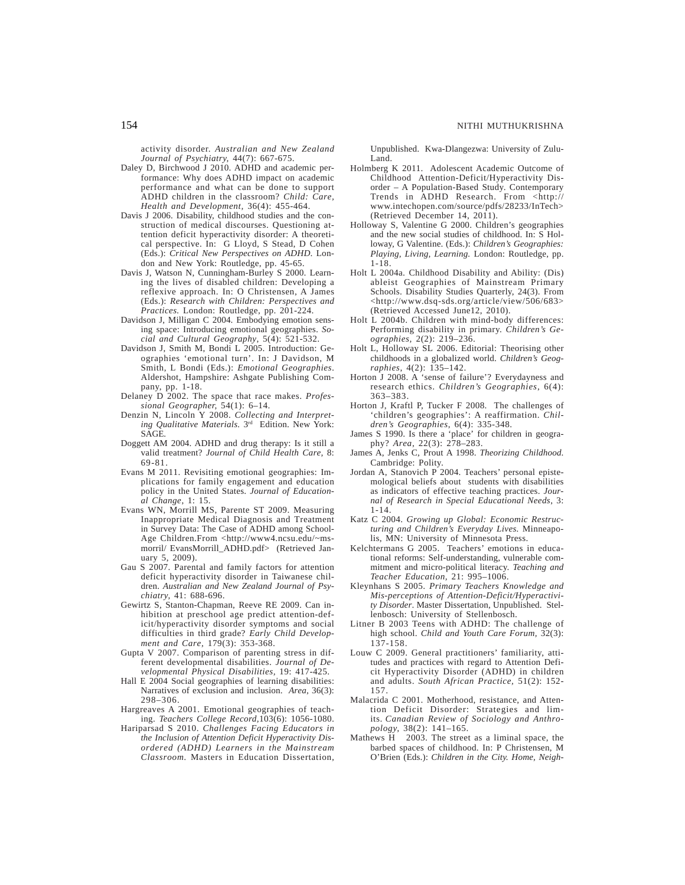activity disorder. *Australian and New Zealand Journal of Psychiatry,* 44(7): 667-675.

- Daley D, Birchwood J 2010. ADHD and academic performance: Why does ADHD impact on academic performance and what can be done to support ADHD children in the classroom? *Child: Care, Health and Development,* 36(4): 455-464.
- Davis J 2006. Disability, childhood studies and the construction of medical discourses. Questioning attention deficit hyperactivity disorder: A theoretical perspective. In: G Lloyd, S Stead, D Cohen (Eds.): *Critical New Perspectives on ADHD*. London and New York: Routledge, pp. 45-65.
- Davis J, Watson N, Cunningham-Burley S 2000. Learning the lives of disabled children: Developing a reflexive approach. In: O Christensen, A James (Eds.): *Research with Children: Perspectives and Practices.* London: Routledge, pp. 201-224.
- Davidson J, Milligan C 2004. Embodying emotion sensing space: Introducing emotional geographies. *Social and Cultural Geography*, 5(4): 521-532.
- Davidson J, Smith M, Bondi L 2005. Introduction: Geographies 'emotional turn'. In: J Davidson, M Smith, L Bondi (Eds.): *Emotional Geographies*. Aldershot, Hampshire: Ashgate Publishing Company, pp. 1-18.
- Delaney D 2002. The space that race makes. *Professional Geographer,* 54(1): 6–14.
- Denzin N, Lincoln Y 2008. *Collecting and Interpret*ing Qualitative Materials. 3<sup>rd</sup> Edition. New York: SAGE.
- Doggett AM 2004. ADHD and drug therapy: Is it still a valid treatment? *Journal of Child Health Care,* 8: 69-81.
- Evans M 2011. Revisiting emotional geographies: Implications for family engagement and education policy in the United States. *Journal of Educational Change*, 1: 15.
- Evans WN, Morrill MS, Parente ST 2009. Measuring Inappropriate Medical Diagnosis and Treatment in Survey Data: The Case of ADHD among School-Age Children.From <http://www4.ncsu.edu/~msmorril/ EvansMorrill\_ADHD.pdf> (Retrieved January 5, 2009).
- Gau S 2007. Parental and family factors for attention deficit hyperactivity disorder in Taiwanese children. *Australian and New Zealand Journal of Psychiatry,* 41: 688-696.
- Gewirtz S, Stanton-Chapman, Reeve RE 2009. Can inhibition at preschool age predict attention-deficit/hyperactivity disorder symptoms and social difficulties in third grade? *Early Child Development and Care,* 179(3): 353-368.
- Gupta V 2007. Comparison of parenting stress in different developmental disabilities. *Journal of Developmental Physical Disabilities,* 19: 417-425.
- Hall E 2004 Social geographies of learning disabilities: Narratives of exclusion and inclusion. *Area*, 36(3): 298–306.
- Hargreaves A 2001. Emotional geographies of teaching. *Teachers College Record,*103(6): 1056-1080.
- Hariparsad S 2010. *Challenges Facing Educators in the Inclusion of Attention Deficit Hyperactivity Disordered (ADHD) Learners in the Mainstream Classroom.* Masters in Education Dissertation,

Unpublished. Kwa-Dlangezwa: University of Zulu-Land.

- Holmberg K 2011. Adolescent Academic Outcome of Childhood Attention-Deficit/Hyperactivity Disorder – A Population-Based Study. Contemporary Trends in ADHD Research. From <http:// www.intechopen.com/source/pdfs/28233/InTech> (Retrieved December 14, 2011).
- Holloway S, Valentine G 2000. Children's geographies and the new social studies of childhood. In: S Holloway, G Valentine. (Eds.): *Children's Geographies: Playing, Living, Learning.* London: Routledge, pp. 1-18.
- Holt L 2004a. Childhood Disability and Ability: (Dis) ableist Geographies of Mainstream Primary Schools. Disability Studies Quarterly, 24(3). From <http://www.dsq-sds.org/article/view/506/683> (Retrieved Accessed June12, 2010).
- Holt L 2004b. Children with mind-body differences: Performing disability in primary. *Children's Geographies,* 2(2): 219–236.
- Holt L, Holloway SL 2006. Editorial: Theorising other childhoods in a globalized world. *Children's Geographies*, 4(2): 135–142.
- Horton J 2008. A 'sense of failure'? Everydayness and research ethics. *Children's Geographies*, 6(4): 363–383.
- Horton J, Kraftl P, Tucker F 2008. The challenges of 'children's geographies': A reaffirmation. *Children's Geographies*, 6(4): 335-348.
- James S 1990. Is there a 'place' for children in geography? *Area*, 22(3): 278–283.
- James A, Jenks C, Prout A 1998. *Theorizing Childhood*. Cambridge: Polity.
- Jordan A, Stanovich P 2004. Teachers' personal epistemological beliefs about students with disabilities as indicators of effective teaching practices. *Journal of Research in Special Educational Needs*, 3: 1-14.
- Katz C 2004. *Growing up Global: Economic Restructuring and Children's Everyday Lives.* Minneapolis, MN: University of Minnesota Press.
- Kelchtermans G 2005. Teachers' emotions in educational reforms: Self-understanding, vulnerable commitment and micro-political literacy. *Teaching and Teacher Education,* 21: 995–1006.
- Kleynhans S 2005. *Primary Teachers Knowledge and Mis-perceptions of Attention-Deficit/Hyperactivity Disorder*. Master Dissertation, Unpublished. Stellenbosch: University of Stellenbosch.
- Litner B 2003 Teens with ADHD: The challenge of high school. *Child and Youth Care Forum,* 32(3): 137-158.
- Louw C 2009. General practitioners' familiarity, attitudes and practices with regard to Attention Deficit Hyperactivity Disorder (ADHD) in children and adults. *South African Practice,* 51(2): 152- 157.
- Malacrida C 2001. Motherhood, resistance, and Attention Deficit Disorder: Strategies and limits. *Canadian Review of Sociology and Anthropology,* 38(2): 141–165.
- Mathews H 2003. The street as a liminal space, the barbed spaces of childhood. In: P Christensen, M O'Brien (Eds.): *Children in the City. Home, Neigh-*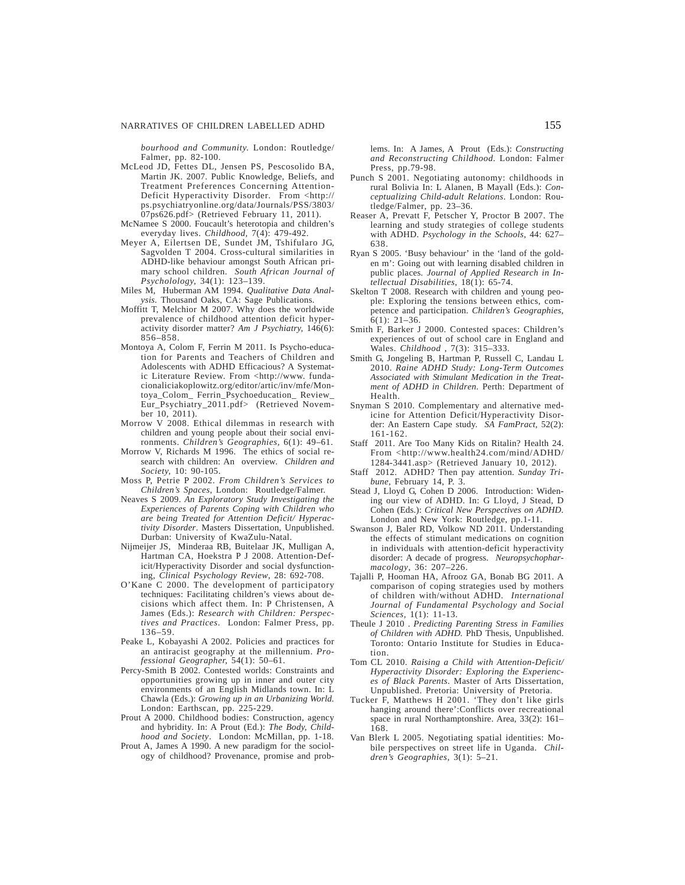## NARRATIVES OF CHILDREN LABELLED ADHD 155

*bourhood and Community.* London: Routledge/ Falmer, pp. 82-100.

- McLeod JD, Fettes DL, Jensen PS, Pescosolido BA, Martin JK. 2007. Public Knowledge, Beliefs, and Treatment Preferences Concerning Attention-Deficit Hyperactivity Disorder*.* From <http:// ps.psychiatryonline.org/data/Journals/PSS/3803/ 07ps626.pdf> (Retrieved February 11, 2011).
- McNamee S 2000. Foucault's heterotopia and children's everyday lives. *Childhood,* 7(4): 479-492.
- Meyer A, Eilertsen DE, Sundet JM, Tshifularo JG, Sagvolden T 2004. Cross-cultural similarities in ADHD-like behaviour amongst South African primary school children. *South African Journal of Psycholology,* 34(1): 123–139.
- Miles M, Huberman AM 1994. *Qualitative Data Analysis.* Thousand Oaks, CA: Sage Publications.
- Moffitt T, Melchior M 2007. Why does the worldwide prevalence of childhood attention deficit hyperactivity disorder matter? *Am J Psychiatry,* 146(6): 856–858.
- Montoya A, Colom F, Ferrin M 2011. Is Psycho-education for Parents and Teachers of Children and Adolescents with ADHD Efficacious? A Systematic Literature Review. From <http://www. fundacionaliciakoplowitz.org/editor/artic/inv/mfe/Montoya\_Colom\_ Ferrin\_Psychoeducation\_ Review\_ Eur\_Psychiatry\_2011.pdf> (Retrieved November 10, 2011).
- Morrow V 2008. Ethical dilemmas in research with children and young people about their social environments. *Children's Geographies,* 6(1): 49–61.
- Morrow V, Richards M 1996. The ethics of social research with children: An overview. *Children and Society,* 10: 90-105.
- Moss P, Petrie P 2002. *From Children's Services to Children's Spaces*, London: Routledge/Falmer.
- Neaves S 2009. *An Exploratory Study Investigating the Experiences of Parents Coping with Children who are being Treated for Attention Deficit/ Hyperactivity Disorder*. Masters Dissertation, Unpublished. Durban: University of KwaZulu-Natal.
- Nijmeijer JS, Minderaa RB, Buitelaar JK, Mulligan A, Hartman CA, Hoekstra P J 2008. Attention-Deficit/Hyperactivity Disorder and social dysfunctioning, *Clinical Psychology Review*, 28: 692-708.
- O'Kane C 2000. The development of participatory techniques: Facilitating children's views about decisions which affect them. In: P Christensen, A James (Eds.): *Research with Children: Perspectives and Practices*. London: Falmer Press, pp. 136–59.
- Peake L, Kobayashi A 2002. Policies and practices for an antiracist geography at the millennium. *Professional Geographer,* 54(1): 50–61.
- Percy-Smith B 2002. Contested worlds: Constraints and opportunities growing up in inner and outer city environments of an English Midlands town. In: L Chawla (Eds.): *Growing up in an Urbanizing World.* London: Earthscan, pp. 225-229.
- Prout A 2000. Childhood bodies: Construction, agency and hybridity. In: A Prout (Ed.): *The Body, Childhood and Society*. London: McMillan, pp. 1-18.
- Prout A, James A 1990. A new paradigm for the sociology of childhood? Provenance, promise and prob-

lems. In: A James, A Prout (Eds.): *Constructing and Reconstructing Childhood.* London: Falmer Press, pp.79-98.

- Punch S 2001. Negotiating autonomy: childhoods in rural Bolivia In: L Alanen, B Mayall (Eds.): *Conceptualizing Child-adult Relations*. London: Routledge/Falmer, pp. 23–36.
- Reaser A, Prevatt F, Petscher Y, Proctor B 2007. The learning and study strategies of college students with ADHD. *Psychology in the Schools*, 44: 627– 638.
- Ryan S 2005. 'Busy behaviour' in the 'land of the golden m': Going out with learning disabled children in public places*. Journal of Applied Research in Intellectual Disabilities*, 18(1): 65-74.
- Skelton T 2008. Research with children and young people: Exploring the tensions between ethics, competence and participation. *Children's Geographies*, 6(1): 21–36.
- Smith F, Barker J 2000. Contested spaces: Children's experiences of out of school care in England and Wales. *Childhood* , 7(3): 315–333.
- Smith G, Jongeling B, Hartman P, Russell C, Landau L 2010. *Raine ADHD Study: Long-Term Outcomes Associated with Stimulant Medication in the Treatment of ADHD in Children.* Perth: Department of Health.
- Snyman S 2010. Complementary and alternative medicine for Attention Deficit/Hyperactivity Disorder: An Eastern Cape study. *SA FamPract,* 52(2): 161-162.
- Staff 2011. Are Too Many Kids on Ritalin? Health 24. From <http://www.health24.com/mind/ADHD/ 1284-3441.asp> (Retrieved January 10, 2012).
- Staff 2012. ADHD? Then pay attention*. Sunday Tribune*, February 14, P. 3.
- Stead J, Lloyd G, Cohen D 2006. Introduction: Widening our view of ADHD. In: G Lloyd, J Stead, D Cohen (Eds.): *Critical New Perspectives on ADHD.* London and New York: Routledge, pp.1-11.
- Swanson J, Baler RD, Volkow ND 2011. Understanding the effects of stimulant medications on cognition in individuals with attention-deficit hyperactivity disorder: A decade of progress. *Neuropsychopharmacology*, 36: 207–226.
- Tajalli P, Hooman HA, Afrooz GA, Bonab BG 2011. A comparison of coping strategies used by mothers of children with/without ADHD. *International Journal of Fundamental Psychology and Social Sciences,* 1(1): 11-13.
- Theule J 2010 . *Predicting Parenting Stress in Families of Children with ADHD.* PhD Thesis, Unpublished. Toronto: Ontario Institute for Studies in Education.
- Tom CL 2010. *Raising a Child with Attention-Deficit/ Hyperactivity Disorder: Exploring the Experiences of Black Parents.* Master of Arts Dissertation, Unpublished. Pretoria: University of Pretoria.
- Tucker F, Matthews H 2001. 'They don't like girls hanging around there':Conflicts over recreational space in rural Northamptonshire. Area, 33(2): 161– 168.
- Van Blerk L 2005. Negotiating spatial identities: Mobile perspectives on street life in Uganda. *Children's Geographies*, 3(1): 5–21.